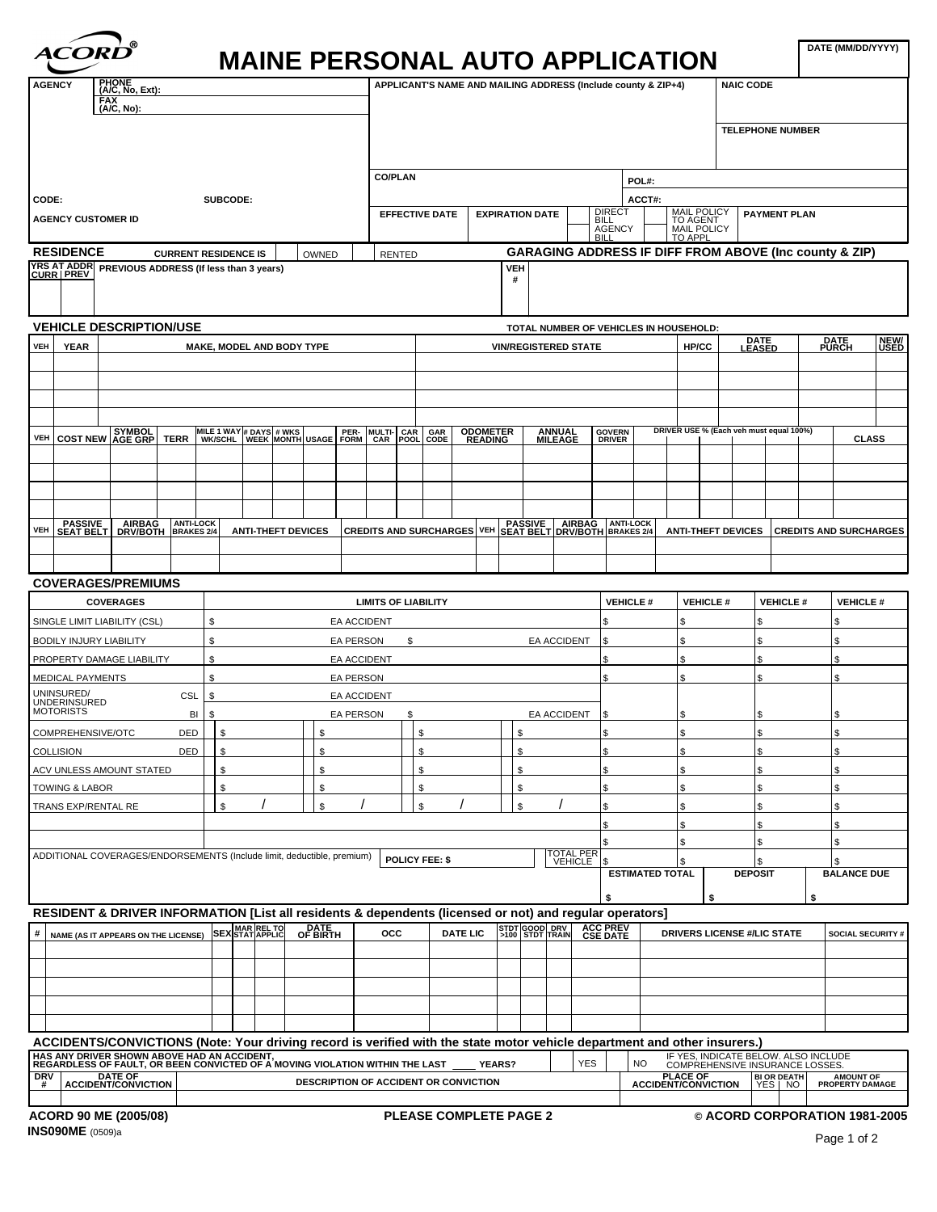| <b>ACORD</b> |  |
|--------------|--|
|              |  |

## **MAINE PERSONAL AUTO APPLICATION**

|                                                                                                                                                                                                                                    |                     | $\mathbf{m}$                          |                    |                               |                                                               |                             |                        |                                                                               |                         |
|------------------------------------------------------------------------------------------------------------------------------------------------------------------------------------------------------------------------------------|---------------------|---------------------------------------|--------------------|-------------------------------|---------------------------------------------------------------|-----------------------------|------------------------|-------------------------------------------------------------------------------|-------------------------|
|                                                                                                                                                                                                                                    |                     |                                       |                    |                               | APPLICANT'S NAME AND MAILING ADDRESS (Include county & ZIP+4) |                             |                        | NAIC CODE                                                                     |                         |
| AGENCY PHONE<br>AGENCY (AC, No, Ext):                                                                                                                                                                                              |                     |                                       |                    |                               |                                                               |                             |                        |                                                                               |                         |
|                                                                                                                                                                                                                                    |                     |                                       |                    |                               |                                                               |                             |                        |                                                                               |                         |
|                                                                                                                                                                                                                                    |                     |                                       |                    |                               |                                                               |                             |                        | TELEPHONE NUMBER                                                              |                         |
|                                                                                                                                                                                                                                    |                     |                                       |                    |                               |                                                               |                             |                        |                                                                               |                         |
|                                                                                                                                                                                                                                    |                     |                                       |                    |                               |                                                               |                             |                        |                                                                               |                         |
|                                                                                                                                                                                                                                    |                     |                                       |                    | <b>CO/PLAN</b>                |                                                               | POL#:                       |                        |                                                                               |                         |
| CODE:                                                                                                                                                                                                                              |                     | SUBCODE:                              |                    |                               |                                                               | ACCT#:                      |                        |                                                                               |                         |
| AGENCY CUSTOMER ID                                                                                                                                                                                                                 |                     |                                       |                    |                               | $\mid$ EFFECTIVE DATE $\mid$ EXPIRATION DATE $\mid$           | <b>DIRECT</b>               |                        | MAIL POLICY<br>TO AGENT<br>MAIL POLICY                                        |                         |
|                                                                                                                                                                                                                                    |                     |                                       |                    |                               |                                                               | $\Box$ BILL<br>BILL<br>BILL | TO APPL                |                                                                               |                         |
| <b>RESIDENCE</b>                                                                                                                                                                                                                   |                     | CURRENT RESIDENCE IS   OWNED   RENTED |                    |                               |                                                               |                             |                        | GARAGING ADDRESS IF DIFF FROM ABOVE (Inc county & ZIP)                        |                         |
| YRS AT ADDR<br>CURR   PREVIOUS ADDRESS (If less than 3 years)                                                                                                                                                                      |                     |                                       |                    |                               |                                                               |                             |                        |                                                                               |                         |
|                                                                                                                                                                                                                                    |                     |                                       |                    |                               |                                                               |                             |                        |                                                                               |                         |
|                                                                                                                                                                                                                                    |                     |                                       |                    |                               |                                                               |                             |                        |                                                                               |                         |
| <b>VEHICLE DESCRIPTION/USE</b>                                                                                                                                                                                                     |                     |                                       |                    |                               | TOTAL NUMBER OF VEHICLES IN HOUSEHOLD:                        |                             |                        |                                                                               |                         |
| VEH YEAR                                                                                                                                                                                                                           |                     |                                       |                    |                               |                                                               |                             |                        | DATE<br>LEASED                                                                | DATE NEW/<br>PURCH USED |
|                                                                                                                                                                                                                                    |                     | MAKE, MODEL AND BODY TYPE             |                    |                               | <b>VIN/REGISTERED STATE</b>                                   |                             | HP/CC                  |                                                                               |                         |
|                                                                                                                                                                                                                                    |                     |                                       |                    |                               |                                                               |                             |                        |                                                                               |                         |
|                                                                                                                                                                                                                                    |                     |                                       |                    |                               |                                                               |                             |                        |                                                                               |                         |
|                                                                                                                                                                                                                                    |                     |                                       |                    |                               |                                                               |                             |                        |                                                                               |                         |
|                                                                                                                                                                                                                                    |                     |                                       |                    |                               |                                                               |                             |                        |                                                                               |                         |
| VEH COST NEW AGE GRP TERR WIKE 1 WAY # DAYS # WKS PER- MULTI-CAR GAR ODOMETER ANNUAL GOVERN                                                                                                                                        |                     |                                       |                    |                               |                                                               |                             |                        |                                                                               |                         |
|                                                                                                                                                                                                                                    |                     |                                       |                    |                               |                                                               |                             |                        |                                                                               |                         |
|                                                                                                                                                                                                                                    |                     |                                       |                    |                               |                                                               |                             |                        |                                                                               |                         |
|                                                                                                                                                                                                                                    |                     |                                       |                    |                               |                                                               |                             |                        |                                                                               |                         |
|                                                                                                                                                                                                                                    |                     |                                       |                    |                               |                                                               |                             |                        |                                                                               |                         |
| VEH SEAT BELT DRVBOTH BRAKES 24 ANTI-THEFT DEVICES CREDITS AND SURCHARGES VEH SEAT BELT DRVBOTH BRAKES 24 ANTI-THEFT DEVICES CREDITS AND SURCHARGES                                                                                |                     |                                       |                    |                               |                                                               |                             |                        |                                                                               |                         |
|                                                                                                                                                                                                                                    |                     |                                       |                    |                               |                                                               |                             |                        |                                                                               |                         |
|                                                                                                                                                                                                                                    |                     |                                       |                    |                               |                                                               |                             |                        |                                                                               |                         |
|                                                                                                                                                                                                                                    |                     |                                       |                    |                               |                                                               |                             |                        |                                                                               |                         |
| <b>COVERAGES/PREMIUMS</b>                                                                                                                                                                                                          |                     |                                       |                    |                               |                                                               |                             |                        |                                                                               |                         |
| <b>COVERAGES</b>                                                                                                                                                                                                                   |                     |                                       |                    | <b>LIMITS OF LIABILITY</b>    |                                                               |                             |                        | $\vert$ VEHICLE # $\vert$ VEHICLE # $\vert$ VEHICLE #                         | $\vert$ VEHICLE #       |
| SINGLE LIMIT LIABILITY (CSL)                                                                                                                                                                                                       |                     |                                       | <b>EA ACCIDENT</b> |                               |                                                               |                             |                        |                                                                               |                         |
| BODILY INJURY LIABILITY                                                                                                                                                                                                            |                     |                                       | <b>EA PERSON</b>   |                               | <b>EA ACCIDENT</b>                                            |                             |                        |                                                                               |                         |
| PROPERTY DAMAGE LIABILITY                                                                                                                                                                                                          |                     |                                       | <b>EA ACCIDENT</b> |                               |                                                               |                             |                        |                                                                               |                         |
| MEDICAL PAYMENTS                                                                                                                                                                                                                   |                     |                                       | <b>EA PERSON</b>   |                               |                                                               |                             |                        |                                                                               |                         |
|                                                                                                                                                                                                                                    |                     |                                       |                    |                               |                                                               |                             |                        |                                                                               |                         |
| UNINSURED/<br>UNDERINSURED<br>MOTORISTS                                                                                                                                                                                            | $CSL$ $\frac{1}{3}$ |                                       | <b>EA ACCIDENT</b> |                               |                                                               |                             |                        |                                                                               |                         |
|                                                                                                                                                                                                                                    |                     |                                       | <b>EA PERSON</b>   |                               | EA ACCIDENT                                                   |                             |                        |                                                                               |                         |
| COMPREHENSIVE/OTC                                                                                                                                                                                                                  | DED \$              |                                       |                    |                               |                                                               |                             |                        |                                                                               |                         |
| COLLISION                                                                                                                                                                                                                          | DED     \$          |                                       |                    |                               |                                                               |                             |                        |                                                                               |                         |
| ACV UNLESS AMOUNT STATED                                                                                                                                                                                                           |                     |                                       |                    |                               |                                                               |                             |                        |                                                                               |                         |
| TOWING & LABOR                                                                                                                                                                                                                     |                     |                                       |                    |                               |                                                               |                             |                        |                                                                               |                         |
| TRANS EXP/RENTAL RE                                                                                                                                                                                                                |                     |                                       | $\overline{1}$     |                               | $\sqrt{1}$<br>$\sqrt{2}$                                      |                             |                        |                                                                               |                         |
|                                                                                                                                                                                                                                    |                     |                                       |                    |                               |                                                               |                             |                        |                                                                               |                         |
|                                                                                                                                                                                                                                    |                     |                                       |                    |                               |                                                               |                             |                        |                                                                               |                         |
| ADDITIONAL COVERAGES/ENDORSEMENTS (Include limit, deductible, premium)   POLICY FEE: \$                                                                                                                                            |                     |                                       |                    |                               | TOTAL PERT                                                    |                             |                        |                                                                               |                         |
|                                                                                                                                                                                                                                    |                     |                                       |                    |                               |                                                               |                             | <b>ESTIMATED TOTAL</b> | <b>DEPOSIT</b>                                                                | <b>BALANCE DUE</b>      |
|                                                                                                                                                                                                                                    |                     |                                       |                    |                               |                                                               |                             |                        |                                                                               |                         |
|                                                                                                                                                                                                                                    |                     |                                       |                    |                               |                                                               |                             |                        |                                                                               |                         |
| RESIDENT & DRIVER INFORMATION [List all residents & dependents (licensed or not) and regular operators]<br># NAME (AS IT APPEARS ON THE LICENSE) SEX STAT APPLIC OF BIRTH OCC DATE LIC 3100 STDT FRAIN CSE DATE DR                 |                     |                                       |                    |                               |                                                               |                             |                        |                                                                               |                         |
|                                                                                                                                                                                                                                    |                     |                                       |                    |                               |                                                               |                             |                        | DRIVERS LICENSE #/LIC STATE SOCIAL SECURITY #                                 |                         |
|                                                                                                                                                                                                                                    |                     |                                       |                    |                               |                                                               |                             |                        |                                                                               |                         |
|                                                                                                                                                                                                                                    |                     |                                       |                    |                               |                                                               |                             |                        |                                                                               |                         |
|                                                                                                                                                                                                                                    |                     |                                       |                    |                               |                                                               |                             |                        |                                                                               |                         |
|                                                                                                                                                                                                                                    |                     |                                       |                    |                               |                                                               |                             |                        |                                                                               |                         |
|                                                                                                                                                                                                                                    |                     |                                       |                    |                               |                                                               |                             |                        |                                                                               |                         |
|                                                                                                                                                                                                                                    |                     |                                       |                    |                               |                                                               |                             |                        |                                                                               |                         |
| ACCIDENTS/CONVICTIONS (Note: Your driving record is verified with the state motor vehicle department and other insurers.)<br>HAS ANY DRIVER SHOWN ACCIDENT AND ACCIDENT MOVING VIOLATION WITHIN THE LAST<br>REGARDLESS OF FAULT, O |                     |                                       |                    |                               |                                                               |                             |                        | NO FRESH INDICATE BELOW. ALSO INCLUDE<br>NO COMPREHENSIVE INSURANCE LOSSES.   |                         |
|                                                                                                                                                                                                                                    |                     |                                       |                    |                               |                                                               |                             |                        |                                                                               |                         |
|                                                                                                                                                                                                                                    |                     |                                       |                    |                               |                                                               |                             |                        | PLACE OF BIOR DEATH AMOUNT OF<br>ACCIDENT/CONVICTION YES   NO PROPERTY DAMAGE |                         |
|                                                                                                                                                                                                                                    |                     |                                       |                    |                               |                                                               |                             |                        |                                                                               |                         |
| ACORD 90 ME (2005/08)                                                                                                                                                                                                              |                     |                                       |                    | <b>PLEASE COMPLETE PAGE 2</b> |                                                               |                             |                        | © ACORD CORPORATION 1981-2005                                                 |                         |